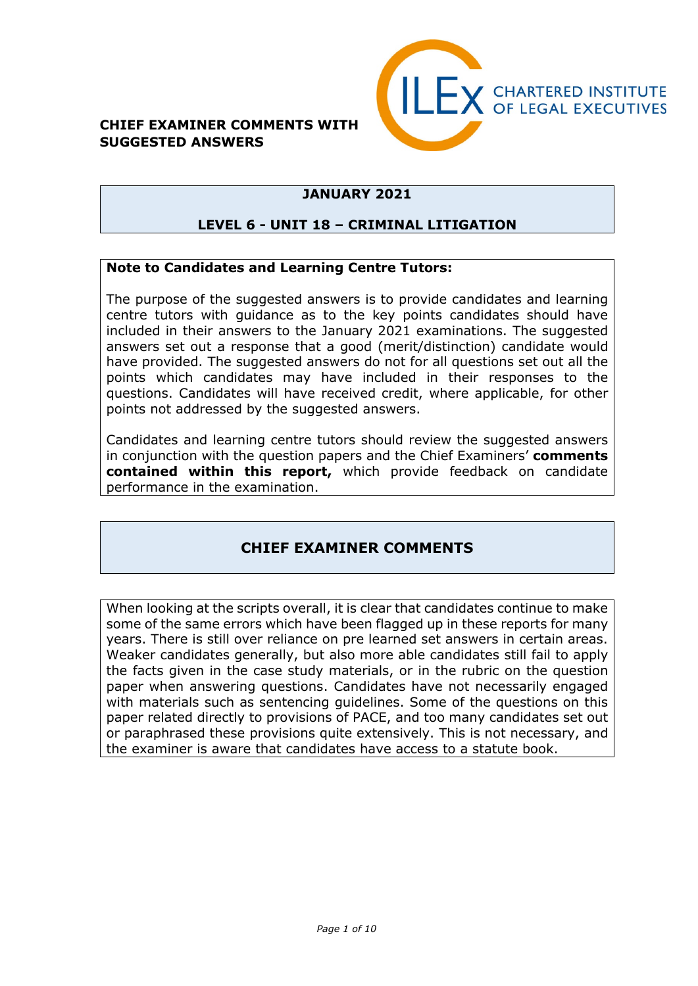#### **CHIEF EXAMINER COMMENTS WITH SUGGESTED ANSWERS**



#### **JANUARY 2021**

#### **LEVEL 6 - UNIT 18 – CRIMINAL LITIGATION**

#### **Note to Candidates and Learning Centre Tutors:**

The purpose of the suggested answers is to provide candidates and learning centre tutors with guidance as to the key points candidates should have included in their answers to the January 2021 examinations. The suggested answers set out a response that a good (merit/distinction) candidate would have provided. The suggested answers do not for all questions set out all the points which candidates may have included in their responses to the questions. Candidates will have received credit, where applicable, for other points not addressed by the suggested answers.

Candidates and learning centre tutors should review the suggested answers in conjunction with the question papers and the Chief Examiners' **comments contained within this report,** which provide feedback on candidate performance in the examination.

#### **CHIEF EXAMINER COMMENTS**

When looking at the scripts overall, it is clear that candidates continue to make some of the same errors which have been flagged up in these reports for many years. There is still over reliance on pre learned set answers in certain areas. Weaker candidates generally, but also more able candidates still fail to apply the facts given in the case study materials, or in the rubric on the question paper when answering questions. Candidates have not necessarily engaged with materials such as sentencing guidelines. Some of the questions on this paper related directly to provisions of PACE, and too many candidates set out or paraphrased these provisions quite extensively. This is not necessary, and the examiner is aware that candidates have access to a statute book.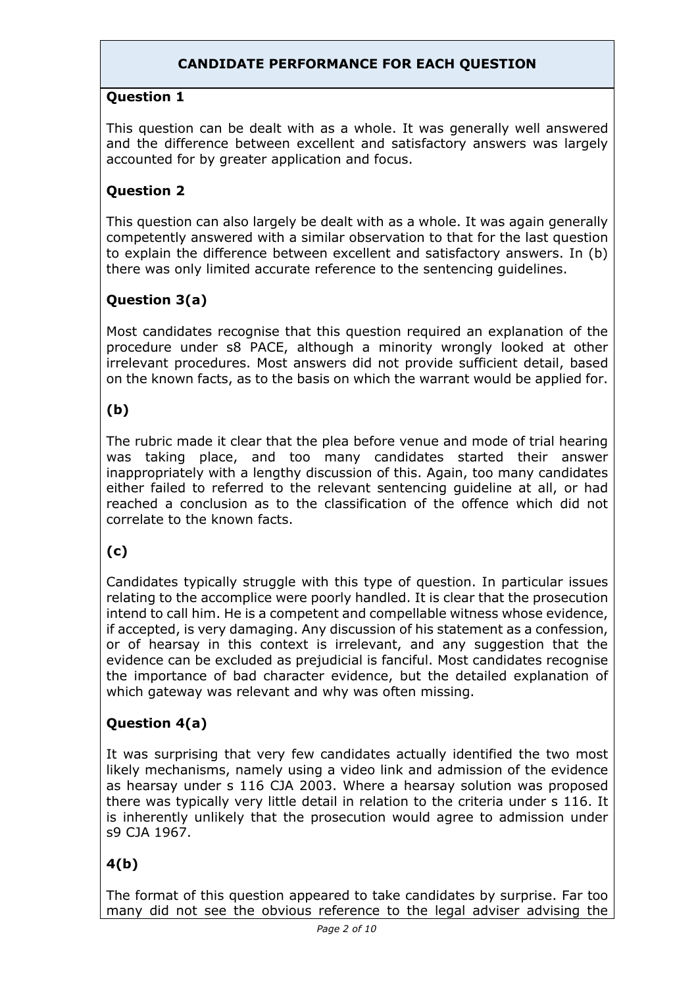### **CANDIDATE PERFORMANCE FOR EACH QUESTION**

#### **Question 1**

This question can be dealt with as a whole. It was generally well answered and the difference between excellent and satisfactory answers was largely accounted for by greater application and focus.

### **Question 2**

This question can also largely be dealt with as a whole. It was again generally competently answered with a similar observation to that for the last question to explain the difference between excellent and satisfactory answers. In (b) there was only limited accurate reference to the sentencing guidelines.

## **Question 3(a)**

Most candidates recognise that this question required an explanation of the procedure under s8 PACE, although a minority wrongly looked at other irrelevant procedures. Most answers did not provide sufficient detail, based on the known facts, as to the basis on which the warrant would be applied for.

## **(b)**

The rubric made it clear that the plea before venue and mode of trial hearing was taking place, and too many candidates started their answer inappropriately with a lengthy discussion of this. Again, too many candidates either failed to referred to the relevant sentencing guideline at all, or had reached a conclusion as to the classification of the offence which did not correlate to the known facts.

## **(c)**

Candidates typically struggle with this type of question. In particular issues relating to the accomplice were poorly handled. It is clear that the prosecution intend to call him. He is a competent and compellable witness whose evidence, if accepted, is very damaging. Any discussion of his statement as a confession, or of hearsay in this context is irrelevant, and any suggestion that the evidence can be excluded as prejudicial is fanciful. Most candidates recognise the importance of bad character evidence, but the detailed explanation of which gateway was relevant and why was often missing.

## **Question 4(a)**

It was surprising that very few candidates actually identified the two most likely mechanisms, namely using a video link and admission of the evidence as hearsay under s 116 CJA 2003. Where a hearsay solution was proposed there was typically very little detail in relation to the criteria under s 116. It is inherently unlikely that the prosecution would agree to admission under s9 CJA 1967.

## **4(b)**

The format of this question appeared to take candidates by surprise. Far too many did not see the obvious reference to the legal adviser advising the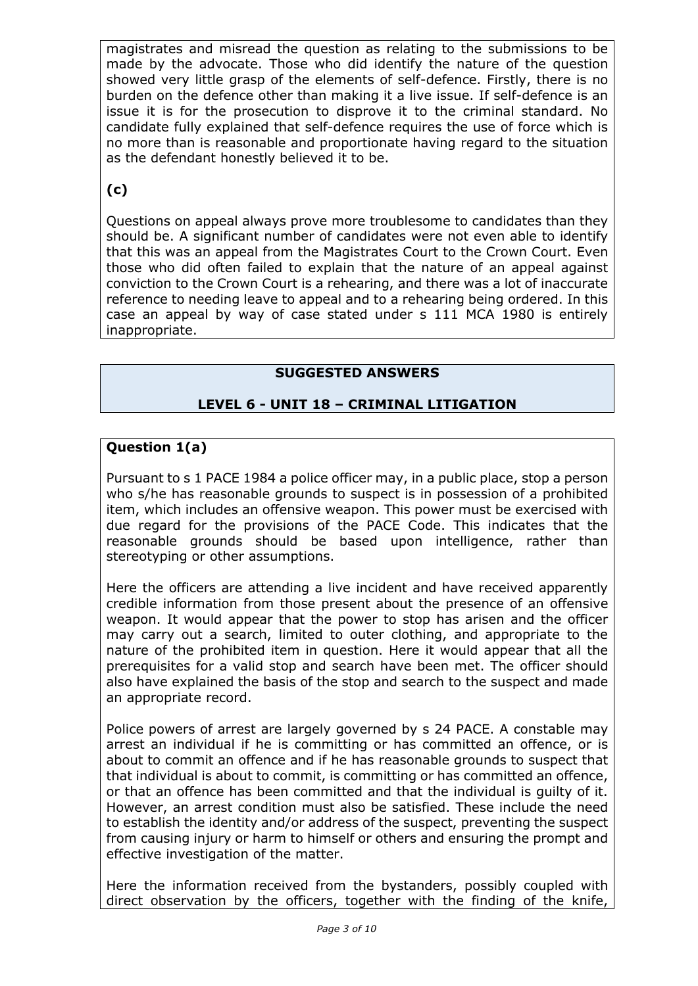magistrates and misread the question as relating to the submissions to be made by the advocate. Those who did identify the nature of the question showed very little grasp of the elements of self-defence. Firstly, there is no burden on the defence other than making it a live issue. If self-defence is an issue it is for the prosecution to disprove it to the criminal standard. No candidate fully explained that self-defence requires the use of force which is no more than is reasonable and proportionate having regard to the situation as the defendant honestly believed it to be.

## **(c)**

Questions on appeal always prove more troublesome to candidates than they should be. A significant number of candidates were not even able to identify that this was an appeal from the Magistrates Court to the Crown Court. Even those who did often failed to explain that the nature of an appeal against conviction to the Crown Court is a rehearing, and there was a lot of inaccurate reference to needing leave to appeal and to a rehearing being ordered. In this case an appeal by way of case stated under s 111 MCA 1980 is entirely inappropriate.

## **SUGGESTED ANSWERS**

### **LEVEL 6 - UNIT 18 – CRIMINAL LITIGATION**

#### **Question 1(a)**

Pursuant to s 1 PACE 1984 a police officer may, in a public place, stop a person who s/he has reasonable grounds to suspect is in possession of a prohibited item, which includes an offensive weapon. This power must be exercised with due regard for the provisions of the PACE Code. This indicates that the reasonable grounds should be based upon intelligence, rather than stereotyping or other assumptions.

Here the officers are attending a live incident and have received apparently credible information from those present about the presence of an offensive weapon. It would appear that the power to stop has arisen and the officer may carry out a search, limited to outer clothing, and appropriate to the nature of the prohibited item in question. Here it would appear that all the prerequisites for a valid stop and search have been met. The officer should also have explained the basis of the stop and search to the suspect and made an appropriate record.

Police powers of arrest are largely governed by s 24 PACE. A constable may arrest an individual if he is committing or has committed an offence, or is about to commit an offence and if he has reasonable grounds to suspect that that individual is about to commit, is committing or has committed an offence, or that an offence has been committed and that the individual is guilty of it. However, an arrest condition must also be satisfied. These include the need to establish the identity and/or address of the suspect, preventing the suspect from causing injury or harm to himself or others and ensuring the prompt and effective investigation of the matter.

Here the information received from the bystanders, possibly coupled with direct observation by the officers, together with the finding of the knife,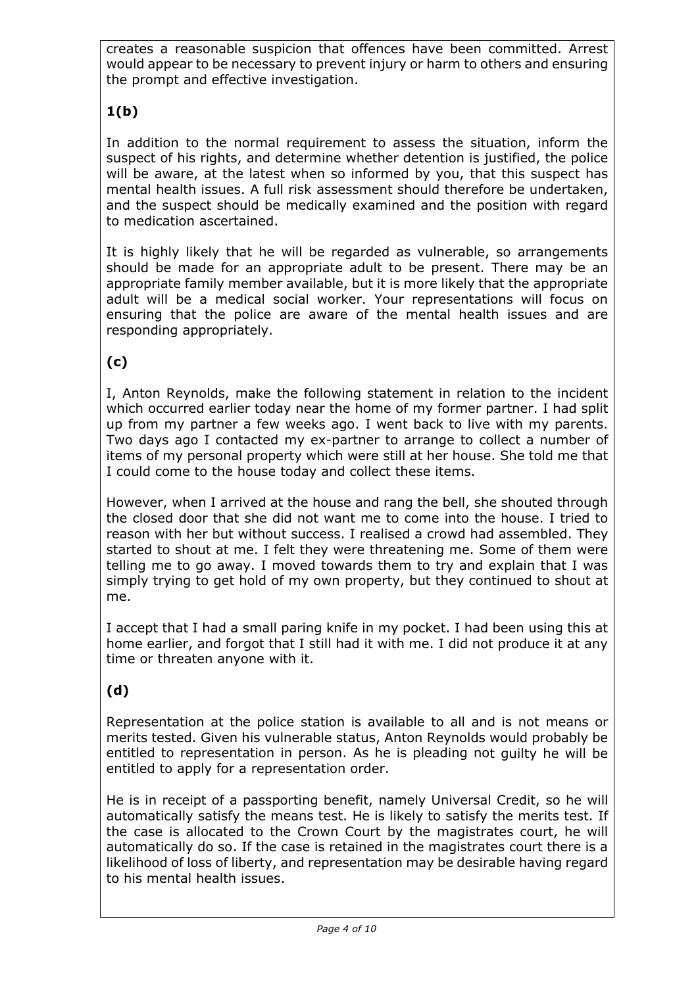creates a reasonable suspicion that offences have been committed. Arrest would appear to be necessary to prevent injury or harm to others and ensuring the prompt and effective investigation.

# **1(b)**

In addition to the normal requirement to assess the situation, inform the suspect of his rights, and determine whether detention is justified, the police will be aware, at the latest when so informed by you, that this suspect has mental health issues. A full risk assessment should therefore be undertaken, and the suspect should be medically examined and the position with regard to medication ascertained.

It is highly likely that he will be regarded as vulnerable, so arrangements should be made for an appropriate adult to be present. There may be an appropriate family member available, but it is more likely that the appropriate adult will be a medical social worker. Your representations will focus on ensuring that the police are aware of the mental health issues and are responding appropriately.

## **(c)**

I, Anton Reynolds, make the following statement in relation to the incident which occurred earlier today near the home of my former partner. I had split up from my partner a few weeks ago. I went back to live with my parents. Two days ago I contacted my ex-partner to arrange to collect a number of items of my personal property which were still at her house. She told me that I could come to the house today and collect these items.

However, when I arrived at the house and rang the bell, she shouted through the closed door that she did not want me to come into the house. I tried to reason with her but without success. I realised a crowd had assembled. They started to shout at me. I felt they were threatening me. Some of them were telling me to go away. I moved towards them to try and explain that I was simply trying to get hold of my own property, but they continued to shout at me.

I accept that I had a small paring knife in my pocket. I had been using this at home earlier, and forgot that I still had it with me. I did not produce it at any time or threaten anyone with it.

## **(d)**

Representation at the police station is available to all and is not means or merits tested. Given his vulnerable status, Anton Reynolds would probably be entitled to representation in person. As he is pleading not guilty he will be entitled to apply for a representation order.

He is in receipt of a passporting benefit, namely Universal Credit, so he will automatically satisfy the means test. He is likely to satisfy the merits test. If the case is allocated to the Crown Court by the magistrates court, he will automatically do so. If the case is retained in the magistrates court there is a likelihood of loss of liberty, and representation may be desirable having regard to his mental health issues.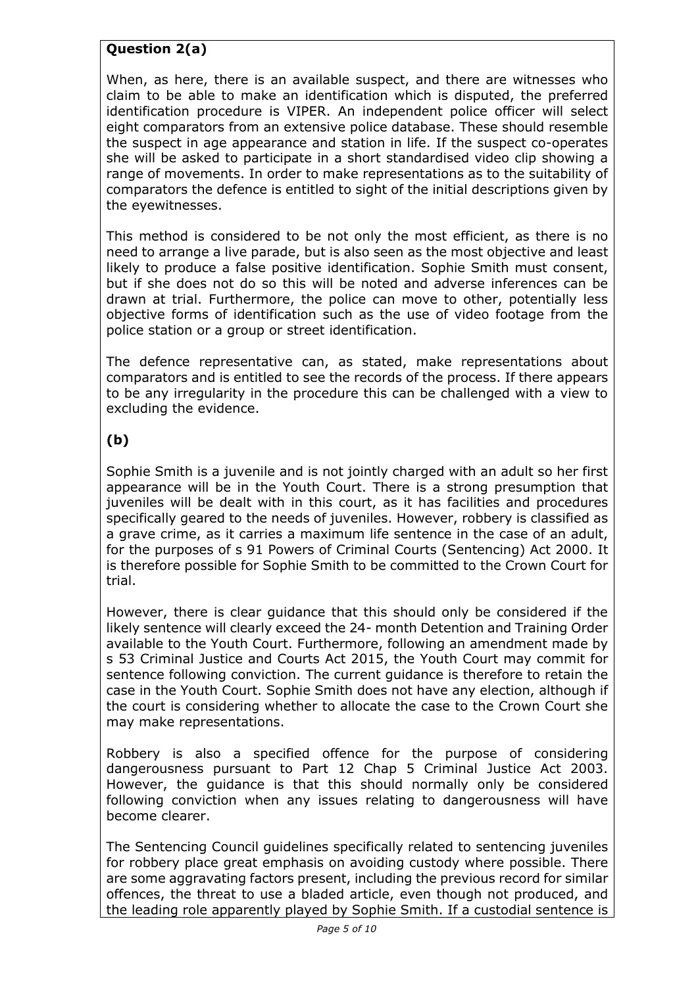### **Question 2(a)**

When, as here, there is an available suspect, and there are witnesses who claim to be able to make an identification which is disputed, the preferred identification procedure is VIPER. An independent police officer will select eight comparators from an extensive police database. These should resemble the suspect in age appearance and station in life. If the suspect co-operates she will be asked to participate in a short standardised video clip showing a range of movements. In order to make representations as to the suitability of comparators the defence is entitled to sight of the initial descriptions given by the eyewitnesses.

This method is considered to be not only the most efficient, as there is no need to arrange a live parade, but is also seen as the most objective and least likely to produce a false positive identification. Sophie Smith must consent, but if she does not do so this will be noted and adverse inferences can be drawn at trial. Furthermore, the police can move to other, potentially less objective forms of identification such as the use of video footage from the police station or a group or street identification.

The defence representative can, as stated, make representations about comparators and is entitled to see the records of the process. If there appears to be any irregularity in the procedure this can be challenged with a view to excluding the evidence.

## **(b)**

Sophie Smith is a juvenile and is not jointly charged with an adult so her first appearance will be in the Youth Court. There is a strong presumption that juveniles will be dealt with in this court, as it has facilities and procedures specifically geared to the needs of juveniles. However, robbery is classified as a grave crime, as it carries a maximum life sentence in the case of an adult, for the purposes of s 91 Powers of Criminal Courts (Sentencing) Act 2000. It is therefore possible for Sophie Smith to be committed to the Crown Court for trial.

However, there is clear guidance that this should only be considered if the likely sentence will clearly exceed the 24- month Detention and Training Order available to the Youth Court. Furthermore, following an amendment made by s 53 Criminal Justice and Courts Act 2015, the Youth Court may commit for sentence following conviction. The current guidance is therefore to retain the case in the Youth Court. Sophie Smith does not have any election, although if the court is considering whether to allocate the case to the Crown Court she may make representations.

Robbery is also a specified offence for the purpose of considering dangerousness pursuant to Part 12 Chap 5 Criminal Justice Act 2003. However, the guidance is that this should normally only be considered following conviction when any issues relating to dangerousness will have become clearer.

The Sentencing Council guidelines specifically related to sentencing juveniles for robbery place great emphasis on avoiding custody where possible. There are some aggravating factors present, including the previous record for similar offences, the threat to use a bladed article, even though not produced, and the leading role apparently played by Sophie Smith. If a custodial sentence is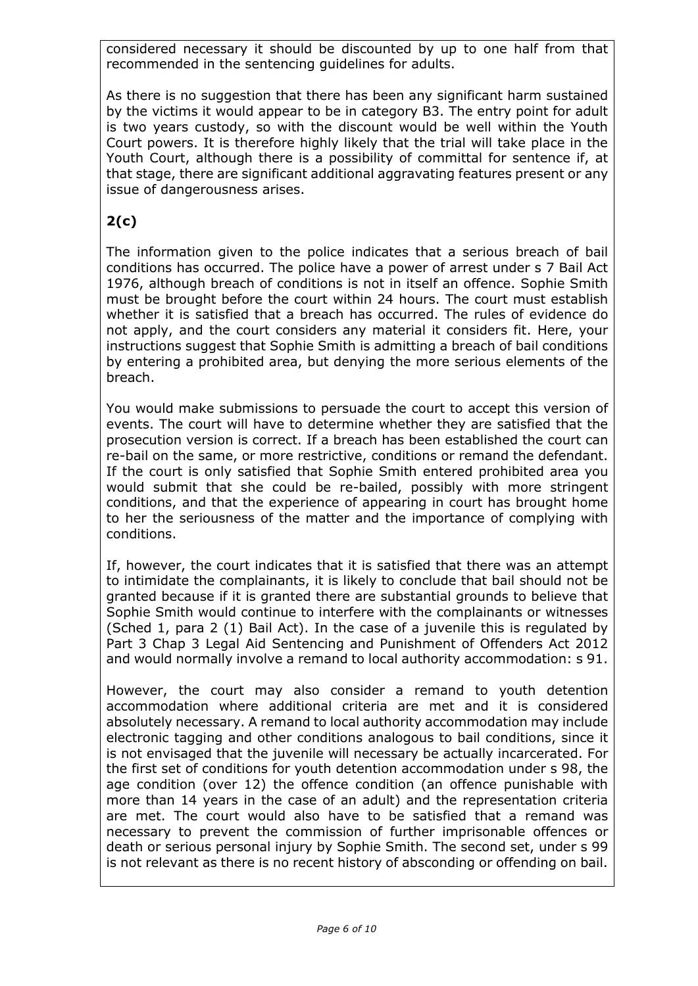considered necessary it should be discounted by up to one half from that recommended in the sentencing guidelines for adults.

As there is no suggestion that there has been any significant harm sustained by the victims it would appear to be in category B3. The entry point for adult is two years custody, so with the discount would be well within the Youth Court powers. It is therefore highly likely that the trial will take place in the Youth Court, although there is a possibility of committal for sentence if, at that stage, there are significant additional aggravating features present or any issue of dangerousness arises.

# **2(c)**

The information given to the police indicates that a serious breach of bail conditions has occurred. The police have a power of arrest under s 7 Bail Act 1976, although breach of conditions is not in itself an offence. Sophie Smith must be brought before the court within 24 hours. The court must establish whether it is satisfied that a breach has occurred. The rules of evidence do not apply, and the court considers any material it considers fit. Here, your instructions suggest that Sophie Smith is admitting a breach of bail conditions by entering a prohibited area, but denying the more serious elements of the breach.

You would make submissions to persuade the court to accept this version of events. The court will have to determine whether they are satisfied that the prosecution version is correct. If a breach has been established the court can re-bail on the same, or more restrictive, conditions or remand the defendant. If the court is only satisfied that Sophie Smith entered prohibited area you would submit that she could be re-bailed, possibly with more stringent conditions, and that the experience of appearing in court has brought home to her the seriousness of the matter and the importance of complying with conditions.

If, however, the court indicates that it is satisfied that there was an attempt to intimidate the complainants, it is likely to conclude that bail should not be granted because if it is granted there are substantial grounds to believe that Sophie Smith would continue to interfere with the complainants or witnesses (Sched 1, para 2 (1) Bail Act). In the case of a juvenile this is regulated by Part 3 Chap 3 Legal Aid Sentencing and Punishment of Offenders Act 2012 and would normally involve a remand to local authority accommodation: s 91.

However, the court may also consider a remand to youth detention accommodation where additional criteria are met and it is considered absolutely necessary. A remand to local authority accommodation may include electronic tagging and other conditions analogous to bail conditions, since it is not envisaged that the juvenile will necessary be actually incarcerated. For the first set of conditions for youth detention accommodation under s 98, the age condition (over 12) the offence condition (an offence punishable with more than 14 years in the case of an adult) and the representation criteria are met. The court would also have to be satisfied that a remand was necessary to prevent the commission of further imprisonable offences or death or serious personal injury by Sophie Smith. The second set, under s 99 is not relevant as there is no recent history of absconding or offending on bail.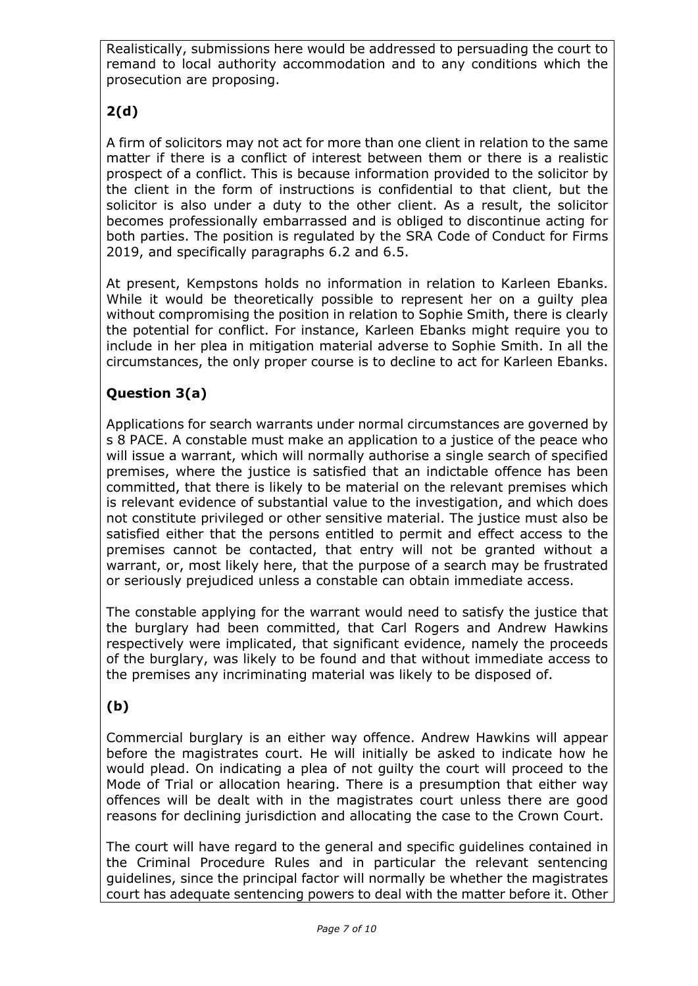Realistically, submissions here would be addressed to persuading the court to remand to local authority accommodation and to any conditions which the prosecution are proposing.

# **2(d)**

A firm of solicitors may not act for more than one client in relation to the same matter if there is a conflict of interest between them or there is a realistic prospect of a conflict. This is because information provided to the solicitor by the client in the form of instructions is confidential to that client, but the solicitor is also under a duty to the other client. As a result, the solicitor becomes professionally embarrassed and is obliged to discontinue acting for both parties. The position is regulated by the SRA Code of Conduct for Firms 2019, and specifically paragraphs 6.2 and 6.5.

At present, Kempstons holds no information in relation to Karleen Ebanks. While it would be theoretically possible to represent her on a guilty plea without compromising the position in relation to Sophie Smith, there is clearly the potential for conflict. For instance, Karleen Ebanks might require you to include in her plea in mitigation material adverse to Sophie Smith. In all the circumstances, the only proper course is to decline to act for Karleen Ebanks.

## **Question 3(a)**

Applications for search warrants under normal circumstances are governed by s 8 PACE. A constable must make an application to a justice of the peace who will issue a warrant, which will normally authorise a single search of specified premises, where the justice is satisfied that an indictable offence has been committed, that there is likely to be material on the relevant premises which is relevant evidence of substantial value to the investigation, and which does not constitute privileged or other sensitive material. The justice must also be satisfied either that the persons entitled to permit and effect access to the premises cannot be contacted, that entry will not be granted without a warrant, or, most likely here, that the purpose of a search may be frustrated or seriously prejudiced unless a constable can obtain immediate access.

The constable applying for the warrant would need to satisfy the justice that the burglary had been committed, that Carl Rogers and Andrew Hawkins respectively were implicated, that significant evidence, namely the proceeds of the burglary, was likely to be found and that without immediate access to the premises any incriminating material was likely to be disposed of.

## **(b)**

Commercial burglary is an either way offence. Andrew Hawkins will appear before the magistrates court. He will initially be asked to indicate how he would plead. On indicating a plea of not guilty the court will proceed to the Mode of Trial or allocation hearing. There is a presumption that either way offences will be dealt with in the magistrates court unless there are good reasons for declining jurisdiction and allocating the case to the Crown Court.

The court will have regard to the general and specific guidelines contained in the Criminal Procedure Rules and in particular the relevant sentencing guidelines, since the principal factor will normally be whether the magistrates court has adequate sentencing powers to deal with the matter before it. Other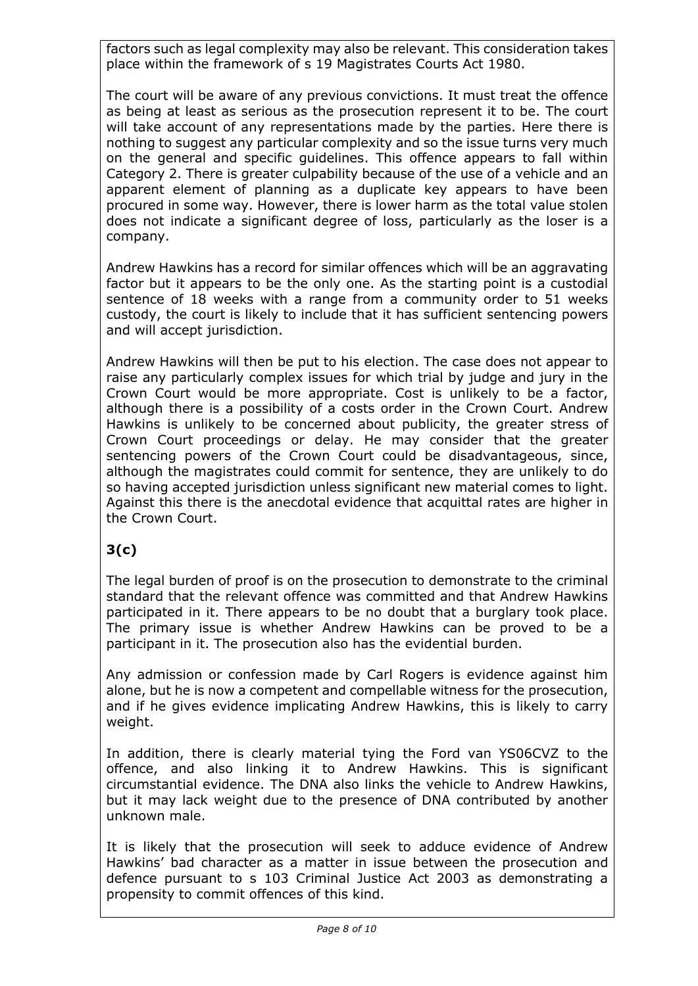factors such as legal complexity may also be relevant. This consideration takes place within the framework of s 19 Magistrates Courts Act 1980.

The court will be aware of any previous convictions. It must treat the offence as being at least as serious as the prosecution represent it to be. The court will take account of any representations made by the parties. Here there is nothing to suggest any particular complexity and so the issue turns very much on the general and specific guidelines. This offence appears to fall within Category 2. There is greater culpability because of the use of a vehicle and an apparent element of planning as a duplicate key appears to have been procured in some way. However, there is lower harm as the total value stolen does not indicate a significant degree of loss, particularly as the loser is a company.

Andrew Hawkins has a record for similar offences which will be an aggravating factor but it appears to be the only one. As the starting point is a custodial sentence of 18 weeks with a range from a community order to 51 weeks custody, the court is likely to include that it has sufficient sentencing powers and will accept jurisdiction.

Andrew Hawkins will then be put to his election. The case does not appear to raise any particularly complex issues for which trial by judge and jury in the Crown Court would be more appropriate. Cost is unlikely to be a factor, although there is a possibility of a costs order in the Crown Court. Andrew Hawkins is unlikely to be concerned about publicity, the greater stress of Crown Court proceedings or delay. He may consider that the greater sentencing powers of the Crown Court could be disadvantageous, since, although the magistrates could commit for sentence, they are unlikely to do so having accepted jurisdiction unless significant new material comes to light. Against this there is the anecdotal evidence that acquittal rates are higher in the Crown Court.

## **3(c)**

The legal burden of proof is on the prosecution to demonstrate to the criminal standard that the relevant offence was committed and that Andrew Hawkins participated in it. There appears to be no doubt that a burglary took place. The primary issue is whether Andrew Hawkins can be proved to be a participant in it. The prosecution also has the evidential burden.

Any admission or confession made by Carl Rogers is evidence against him alone, but he is now a competent and compellable witness for the prosecution, and if he gives evidence implicating Andrew Hawkins, this is likely to carry weight.

In addition, there is clearly material tying the Ford van YS06CVZ to the offence, and also linking it to Andrew Hawkins. This is significant circumstantial evidence. The DNA also links the vehicle to Andrew Hawkins, but it may lack weight due to the presence of DNA contributed by another unknown male.

It is likely that the prosecution will seek to adduce evidence of Andrew Hawkins' bad character as a matter in issue between the prosecution and defence pursuant to s 103 Criminal Justice Act 2003 as demonstrating a propensity to commit offences of this kind.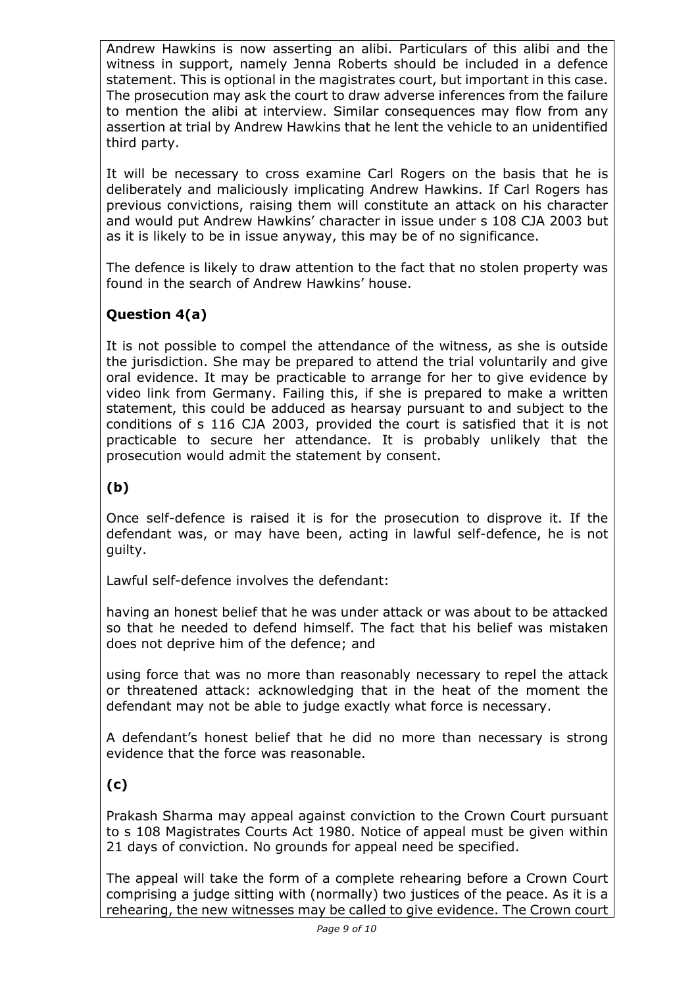Andrew Hawkins is now asserting an alibi. Particulars of this alibi and the witness in support, namely Jenna Roberts should be included in a defence statement. This is optional in the magistrates court, but important in this case. The prosecution may ask the court to draw adverse inferences from the failure to mention the alibi at interview. Similar consequences may flow from any assertion at trial by Andrew Hawkins that he lent the vehicle to an unidentified third party.

It will be necessary to cross examine Carl Rogers on the basis that he is deliberately and maliciously implicating Andrew Hawkins. If Carl Rogers has previous convictions, raising them will constitute an attack on his character and would put Andrew Hawkins' character in issue under s 108 CJA 2003 but as it is likely to be in issue anyway, this may be of no significance.

The defence is likely to draw attention to the fact that no stolen property was found in the search of Andrew Hawkins' house.

## **Question 4(a)**

It is not possible to compel the attendance of the witness, as she is outside the jurisdiction. She may be prepared to attend the trial voluntarily and give oral evidence. It may be practicable to arrange for her to give evidence by video link from Germany. Failing this, if she is prepared to make a written statement, this could be adduced as hearsay pursuant to and subject to the conditions of s 116 CJA 2003, provided the court is satisfied that it is not practicable to secure her attendance. It is probably unlikely that the prosecution would admit the statement by consent.

## **(b)**

Once self-defence is raised it is for the prosecution to disprove it. If the defendant was, or may have been, acting in lawful self-defence, he is not guilty.

Lawful self-defence involves the defendant:

having an honest belief that he was under attack or was about to be attacked so that he needed to defend himself. The fact that his belief was mistaken does not deprive him of the defence; and

using force that was no more than reasonably necessary to repel the attack or threatened attack: acknowledging that in the heat of the moment the defendant may not be able to judge exactly what force is necessary.

A defendant's honest belief that he did no more than necessary is strong evidence that the force was reasonable.

## **(c)**

Prakash Sharma may appeal against conviction to the Crown Court pursuant to s 108 Magistrates Courts Act 1980. Notice of appeal must be given within 21 days of conviction. No grounds for appeal need be specified.

The appeal will take the form of a complete rehearing before a Crown Court comprising a judge sitting with (normally) two justices of the peace. As it is a rehearing, the new witnesses may be called to give evidence. The Crown court